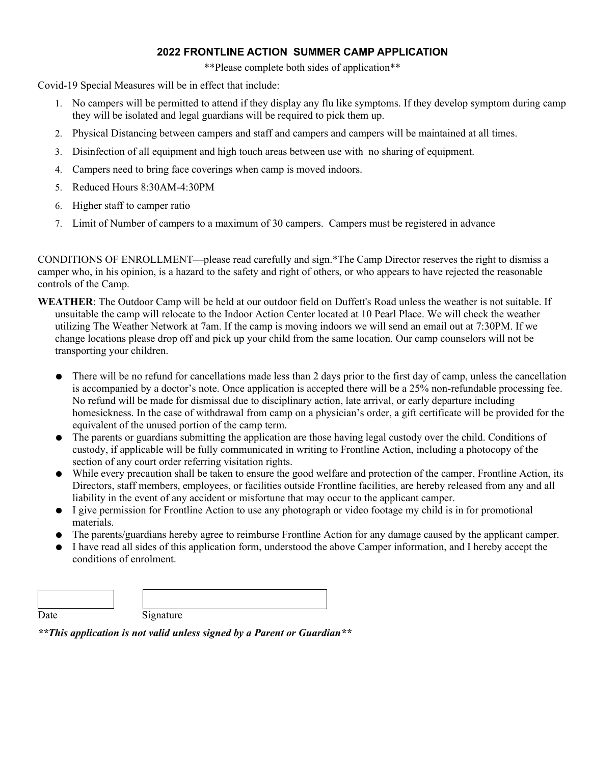# **2022 FRONTLINE ACTION SUMMER CAMP APPLICATION**

\*\*Please complete both sides of application\*\*

Covid-19 Special Measures will be in effect that include:

- 1. No campers will be permitted to attend if they display any flu like symptoms. If they develop symptom during camp they will be isolated and legal guardians will be required to pick them up.
- 2. Physical Distancing between campers and staff and campers and campers will be maintained at all times.
- 3. Disinfection of all equipment and high touch areas between use with no sharing of equipment.
- 4. Campers need to bring face coverings when camp is moved indoors.
- 5. Reduced Hours 8:30AM-4:30PM
- 6. Higher staff to camper ratio
- 7. Limit of Number of campers to a maximum of 30 campers. Campers must be registered in advance

CONDITIONS OF ENROLLMENT—please read carefully and sign.\*The Camp Director reserves the right to dismiss a camper who, in his opinion, is a hazard to the safety and right of others, or who appears to have rejected the reasonable controls of the Camp.

- **WEATHER**: The Outdoor Camp will be held at our outdoor field on Duffett's Road unless the weather is not suitable. If unsuitable the camp will relocate to the Indoor Action Center located at 10 Pearl Place. We will check the weather utilizing The Weather Network at 7am. If the camp is moving indoors we will send an email out at 7:30PM. If we change locations please drop off and pick up your child from the same location. Our camp counselors will not be transporting your children.
	- There will be no refund for cancellations made less than 2 days prior to the first day of camp, unless the cancellation is accompanied by a doctor's note. Once application is accepted there will be a 25% non-refundable processing fee. No refund will be made for dismissal due to disciplinary action, late arrival, or early departure including homesickness. In the case of withdrawal from camp on a physician's order, a gift certificate will be provided for the equivalent of the unused portion of the camp term.
	- The parents or guardians submitting the application are those having legal custody over the child. Conditions of custody, if applicable will be fully communicated in writing to Frontline Action, including a photocopy of the section of any court order referring visitation rights.
	- While every precaution shall be taken to ensure the good welfare and protection of the camper, Frontline Action, its Directors, staff members, employees, or facilities outside Frontline facilities, are hereby released from any and all liability in the event of any accident or misfortune that may occur to the applicant camper.
	- I give permission for Frontline Action to use any photograph or video footage my child is in for promotional materials.
	- The parents/guardians hereby agree to reimburse Frontline Action for any damage caused by the applicant camper.
	- I have read all sides of this application form, understood the above Camper information, and I hereby accept the conditions of enrolment.

Date Signature

 $\overline{\phantom{a}}$ 

*\*\*This application is not valid unless signed by a Parent or Guardian\*\**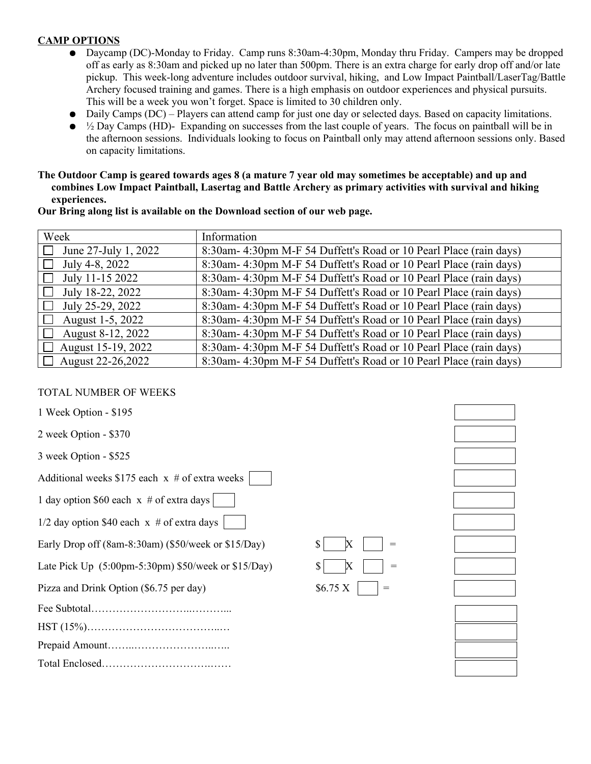# **CAMP OPTIONS**

- Daycamp (DC)-Monday to Friday. Camp runs 8:30am-4:30pm, Monday thru Friday. Campers may be dropped off as early as 8:30am and picked up no later than 500pm. There is an extra charge for early drop off and/or late pickup. This week-long adventure includes outdoor survival, hiking, and Low Impact Paintball/LaserTag/Battle Archery focused training and games. There is a high emphasis on outdoor experiences and physical pursuits. This will be a week you won't forget. Space is limited to 30 children only.
- Daily Camps (DC) Players can attend camp for just one day or selected days. Based on capacity limitations.
- $\bullet$   $\frac{1}{2}$  Day Camps (HD)- Expanding on successes from the last couple of years. The focus on paintball will be in the afternoon sessions. Individuals looking to focus on Paintball only may attend afternoon sessions only. Based on capacity limitations.

**The Outdoor Camp is geared towards ages 8 (a mature 7 year old may sometimes be acceptable) and up and combines Low Impact Paintball, Lasertag and Battle Archery as primary activities with survival and hiking experiences.**

| Week                            | Information                                                       |
|---------------------------------|-------------------------------------------------------------------|
| June 27-July 1, 2022<br>$\perp$ | 8:30am-4:30pm M-F 54 Duffett's Road or 10 Pearl Place (rain days) |
| July 4-8, 2022<br>$\perp$       | 8:30am-4:30pm M-F 54 Duffett's Road or 10 Pearl Place (rain days) |
| July 11-15 2022                 | 8:30am-4:30pm M-F 54 Duffett's Road or 10 Pearl Place (rain days) |
| July 18-22, 2022                | 8:30am-4:30pm M-F 54 Duffett's Road or 10 Pearl Place (rain days) |
| July 25-29, 2022<br>$\Box$      | 8:30am-4:30pm M-F 54 Duffett's Road or 10 Pearl Place (rain days) |
| August 1-5, 2022<br>$\perp$     | 8:30am-4:30pm M-F 54 Duffett's Road or 10 Pearl Place (rain days) |
| August 8-12, 2022               | 8:30am-4:30pm M-F 54 Duffett's Road or 10 Pearl Place (rain days) |
| $\Box$ August 15-19, 2022       | 8:30am-4:30pm M-F 54 Duffett's Road or 10 Pearl Place (rain days) |
| $\Box$ August 22-26,2022        | 8:30am-4:30pm M-F 54 Duffett's Road or 10 Pearl Place (rain days) |

**Our Bring along list is available on the Download section of our web page.**

## TOTAL NUMBER OF WEEKS

1 Week Option - \$195

2 week Option - \$370

3 week Option - \$525

Additional weeks  $$175$  each x # of extra weeks

1 day option \$60 each  $x \neq 0$  extra days

 $1/2$  day option \$40 each x # of extra days

Early Drop off  $(8am-8:30am)$   $(\$50/week$  or  $$15/Day)$ 

Late Pick Up  $(5:00 \text{pm-}5:30 \text{pm})$  \$50/week or \$15/Day)

Pizza and Drink Option  $(\$6.75$  per day)  $\$6.75$  X

|--|--|

HST (15%)………………………………..…

Prepaid Amount……..…………………..…..

Total Enclosed………………………….……



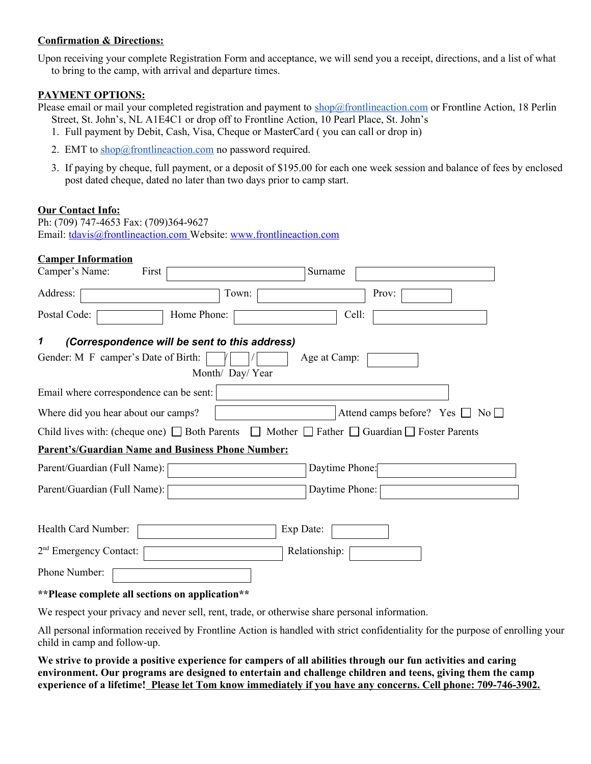### **Confirmation & Directions:**

Upon receiving your complete Registration Form and acceptance, we will send you a receipt, directions, and a list of what to bring to the camp, with arrival and departure times.

### **PAYMENT OPTIONS:**

Please email or mail your completed registration and payment to shop@frontlineaction.com or Frontline Action, 18 Perlin Street, St. John's, NL A1E4C1 or drop off to Frontline Action, 10 Pearl Place, St. John's

- 1. Full payment by Debit, Cash, Visa, Cheque or MasterCard ( you can call or drop in)
- 2. EMT to shop@frontlineaction.com no password required.
- 3. If paying by cheque, full payment, or a deposit of \$195.00 for each one week session and balance of fees by enclosed post dated cheque, dated no later than two days prior to camp start.

### **Our Contact Info:**

| Ph: (709) 747-4653 Fax: (709)364-9627 |                                                                      |
|---------------------------------------|----------------------------------------------------------------------|
|                                       | Email: $tdavis@frontlineaction.com$ Website: www.frontlineaction.com |

| <b>Camper Information</b>                                                                                            |
|----------------------------------------------------------------------------------------------------------------------|
| Camper's Name:<br>First<br>Surname                                                                                   |
| Address:<br>Town:<br>Prov:                                                                                           |
| Home Phone:<br>Postal Code:<br>Cell:                                                                                 |
| (Correspondence will be sent to this address)<br>1                                                                   |
| Gender: M F camper's Date of Birth:<br>Age at Camp:                                                                  |
| Month/ Day/ Year                                                                                                     |
| Email where correspondence can be sent:                                                                              |
| Where did you hear about our camps?<br>Attend camps before? Yes $\Box$ No $\Box$                                     |
| Child lives with: (cheque one) $\Box$ Both Parents $\Box$ Mother $\Box$ Father $\Box$ Guardian $\Box$ Foster Parents |
| <b>Parent's/Guardian Name and Business Phone Number:</b>                                                             |
| Parent/Guardian (Full Name):<br>Daytime Phone:                                                                       |
| Parent/Guardian (Full Name):<br>Daytime Phone:                                                                       |
|                                                                                                                      |
| Health Card Number:<br>Exp Date:                                                                                     |
| 2 <sup>nd</sup> Emergency Contact:<br>Relationship:                                                                  |
| Phone Number:                                                                                                        |

#### **\*\*Please complete all sections on application\*\***

We respect your privacy and never sell, rent, trade, or otherwise share personal information.

All personal information received by Frontline Action is handled with strict confidentiality for the purpose of enrolling your child in camp and follow-up.

**We strive to provide a positive experience for campers of all abilities through our fun activities and caring environment. Our programs are designed to entertain and challenge children and teens, giving them the camp experience of a lifetime! Please let Tom know immediately if you have any concerns. Cell phone: 709-746-3902.**